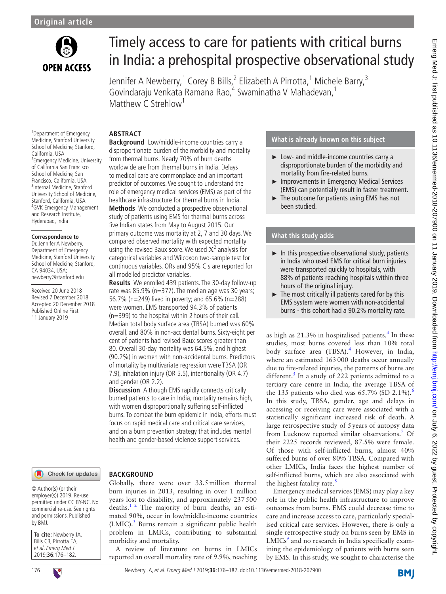

# Timely access to care for patients with critical burns in India: a prehospital prospective observational study

Jennifer A Newberry,<sup>1</sup> Corey B Bills,<sup>2</sup> Elizabeth A Pirrotta,<sup>1</sup> Michele Barry,<sup>3</sup> Govindaraju Venkata Ramana Rao,<sup>4</sup> Swaminatha V Mahadevan,<sup>1</sup> Matthew C Strehlow<sup>1</sup>

#### **Abstract**

<sup>1</sup> Department of Emergency Medicine, Stanford University School of Medicine, Stanford, California, USA <sup>2</sup> Emergency Medicine, University of California San Francisco School of Medicine, San Francisco, California, USA <sup>3</sup>Internal Medicine, Stanford University School of Medicine, Stanford, California, USA 4 GVK Emergency Management and Research Institute, Hyderabad, India

#### **Correspondence to**

Dr. Jennifer A Newberry, Department of Emergency Medicine, Stanford University School of Medicine, Stanford, CA 94034, USA; newberry@stanford.edu

Received 20 June 2018 Revised 7 December 2018 Accepted 20 December 2018 Published Online First 11 January 2019

**Background** Low/middle-income countries carry a disproportionate burden of the morbidity and mortality from thermal burns. Nearly 70% of burn deaths worldwide are from thermal burns in India. Delays to medical care are commonplace and an important predictor of outcomes. We sought to understand the role of emergency medical services (EMS) as part of the healthcare infrastructure for thermal burns in India. **Methods** We conducted a prospective observational study of patients using EMS for thermal burns across five Indian states from May to August 2015. Our primary outcome was mortality at 2, 7 and 30 days. We compared observed mortality with expected mortality using the revised Baux score. We used  $X^2$  analysis for categorical variables and Wilcoxon two-sample test for continuous variables. ORs and 95% CIs are reported for all modelled predictor variables.

**Results** We enrolled 439 patients. The 30-day follow-up rate was 85.9% (n=377). The median age was 30 years; 56.7% (n=249) lived in poverty; and 65.6% (n=288) were women. EMS transported 94.3% of patients (n=399) to the hospital within 2 hours of their call. Median total body surface area (TBSA) burned was 60% overall, and 80% in non-accidental burns. Sixty-eight per cent of patients had revised Baux scores greater than 80. Overall 30-day mortality was 64.5%, and highest (90.2%) in women with non-accidental burns. Predictors of mortality by multivariate regression were TBSA (OR 7.9), inhalation injury (OR 5.5), intentionality (OR 4.7) and gender (OR 2.2).

**Discussion** Although EMS rapidly connects critically burned patients to care in India, mortality remains high, with women disproportionally suffering self-inflicted burns. To combat the burn epidemic in India, efforts must focus on rapid medical care and critical care services, and on a burn prevention strategy that includes mental health and gender-based violence support services.

#### Check for updates

#### © Author(s) (or their employer(s)) 2019. Re-use permitted under CC BY-NC. No commercial re-use. See rights and permissions. Published by BMJ.

| To cite: Newberry JA,  |
|------------------------|
| Bills CB, Pirrotta EA, |
| et al. Emerg Med J     |
| 2019;36:176-182.       |

# Globally, there were over 33.5million thermal

**BACKGROUND** 

burn injuries in 2013, resulting in over 1 million years lost to disability, and approximately 237500 deaths.<sup>1 2</sup> The majority of burn deaths, an estimated 90%, occur in low/middle-income countries (LMIC).<sup>[3](#page-6-1)</sup> Burns remain a significant public health problem in LMICs, contributing to substantial morbidity and mortality.

A review of literature on burns in LMICs reported an overall mortality rate of 9.9%, reaching

#### **What is already known on this subject**

- ► Low- and middle-income countries carry a disproportionate burden of the morbidity and mortality from fire-related burns.
- ► Improvements in Emergency Medical Services (EMS) can potentially result in faster treatment.
- The outcome for patients using EMS has not been studied.

#### **What this study adds**

- ► In this prospective observational study, patients in India who used EMS for critical burn injuries were transported quickly to hospitals, with 88% of patients reaching hospitals within three hours of the original injury.
- ► The most critically ill patients cared for by this EMS system were women with non-accidental burns - this cohort had a 90.2% mortality rate.

as high as  $21.3\%$  in hospitalised patients.<sup>4</sup> In these studies, most burns covered less than 10% total body surface area (TBSA).<sup>[4](#page-6-2)</sup> However, in India, where an estimated 163000 deaths occur annually due to fire-related injuries, the patterns of burns are different.<sup>[5](#page-6-3)</sup> In a study of 222 patients admitted to a tertiary care centre in India, the average TBSA of the 135 patients who died was  $65.7\%$  $65.7\%$  (SD 2.1%).<sup>6</sup> In this study, TBSA, gender, age and delays in accessing or receiving care were associated with a statistically significant increased risk of death. A large retrospective study of 5years of autopsy data from Lucknow reported similar observations.<sup>[7](#page-6-5)</sup> Of their 2225 records reviewed, 87.5% were female. Of those with self-inflicted burns, almost 40% suffered burns of over 80% TBSA. Compared with other LMICs, India faces the highest number of self-inflicted burns, which are also associated with the highest fatality rate. $8$ 

Emergency medical services (EMS) may play a key role in the public health infrastructure to improve outcomes from burns. EMS could decrease time to care and increase access to care, particularly specialised critical care services. However, there is only a single retrospective study on burns seen by EMS in  $LMICs<sup>9</sup>$  $LMICs<sup>9</sup>$  $LMICs<sup>9</sup>$  and no research in India specifically examining the epidemiology of patients with burns seen by EMS. In this study, we sought to characterise the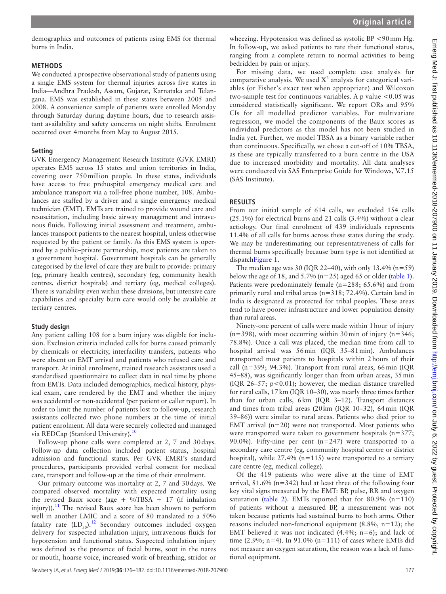demographics and outcomes of patients using EMS for thermal burns in India.

#### **Methods**

We conducted a prospective observational study of patients using a single EMS system for thermal injuries across five states in India—Andhra Pradesh, Assam, Gujarat, Karnataka and Telangana. EMS was established in these states between 2005 and 2008. A convenience sample of patients were enrolled Monday through Saturday during daytime hours, due to research assistant availability and safety concerns on night shifts. Enrolment occurred over 4months from May to August 2015.

#### **Setting**

GVK Emergency Management Research Institute (GVK EMRI) operates EMS across 15 states and union territories in India, covering over 750million people. In these states, individuals have access to free prehospital emergency medical care and ambulance transport via a toll-free phone number, 108. Ambulances are staffed by a driver and a single emergency medical technician (EMT). EMTs are trained to provide wound care and resuscitation, including basic airway management and intravenous fluids. Following initial assessment and treatment, ambulances transport patients to the nearest hospital, unless otherwise requested by the patient or family. As this EMS system is operated by a public–private partnership, most patients are taken to a government hospital. Government hospitals can be generally categorised by the level of care they are built to provide: primary (eg, primary health centres), secondary (eg, community health centres, district hospitals) and tertiary (eg, medical colleges). There is variability even within these divisions, but intensive care capabilities and specialty burn care would only be available at tertiary centres.

#### **Study design**

Any patient calling 108 for a burn injury was eligible for inclusion. Exclusion criteria included calls for burns caused primarily by chemicals or electricity, interfacility transfers, patients who were absent on EMT arrival and patients who refused care and transport. At initial enrolment, trained research assistants used a standardised questionnaire to collect data in real time by phone from EMTs. Data included demographics, medical history, physical exam, care rendered by the EMT and whether the injury was accidental or non-accidental (per patient or caller report). In order to limit the number of patients lost to follow-up, research assistants collected two phone numbers at the time of initial patient enrolment. All data were securely collected and managed via REDCap (Stanford University).<sup>[10](#page-6-8)</sup>

Follow-up phone calls were completed at 2, 7 and 30days. Follow-up data collection included patient status, hospital admission and functional status. Per GVK EMRI's standard procedures, participants provided verbal consent for medical care, transport and follow-up at the time of their enrolment.

Our primary outcome was mortality at 2, 7 and 30days. We compared observed mortality with expected mortality using the revised Baux score (age + %TBSA + 17 (if inhalation injury)). $11$  The revised Baux score has been shown to perform well in another LMIC and a score of 80 translated to a 50% fatality rate  $(LD_{50})$ .<sup>[12](#page-6-10)</sup> Secondary outcomes included oxygen delivery for suspected inhalation injury, intravenous fluids for hypotension and functional status. Suspected inhalation injury was defined as the presence of facial burns, soot in the nares or mouth, hoarse voice, increased work of breathing, stridor or

wheezing. Hypotension was defined as systolic BP <90mm Hg. In follow-up, we asked patients to rate their functional status, ranging from a complete return to normal activities to being bedridden by pain or injury.

For missing data, we used complete case analysis for comparative analysis. We used  $X^2$  analysis for categorical variables (or Fisher's exact test when appropriate) and Wilcoxon two-sample test for continuous variables. A p value <0.05 was considered statistically significant. We report ORs and 95% CIs for all modelled predictor variables. For multivariate regression, we model the components of the Baux scores as individual predictors as this model has not been studied in India yet. Further, we model TBSA as a binary variable rather than continuous. Specifically, we chose a cut-off of 10% TBSA, as these are typically transferred to a burn centre in the USA due to increased morbidity and mortality. All data analyses were conducted via SAS Enterprise Guide for Windows, V.7.15 (SAS Institute).

#### **Results**

From our initial sample of 614 calls, we excluded 154 calls (25.1%) for electrical burns and 21 calls (3.4%) without a clear aetiology. Our final enrolment of 439 individuals represents 11.4% of all calls for burns across these states during the study. We may be underestimating our representativeness of calls for thermal burns specifically because burn type is not identified at dispatch[Figure](#page-2-0) 1.

The median age was 30 (IQR 22–40), with only 13.4% ( $n=59$ ) below the age of 18, and  $5.7\%$  (n=25) aged 65 or older [\(table](#page-3-0) 1). Patients were predominately female (n=288; 65.6%) and from primarily rural and tribal areas (n=318; 72.4%). Certain land in India is designated as protected for tribal peoples. These areas tend to have poorer infrastructure and lower population density than rural areas.

Ninety-one percent of calls were made within 1hour of injury  $(n=398)$ , with most occurring within 30 min of injury  $(n=346;$ 78.8%). Once a call was placed, the median time from call to hospital arrival was 56min (IQR 35–81min). Ambulances transported most patients to hospitals within 2hours of their call (n=399; 94.3%). Transport from rural areas, 66min (IQR 45–88), was significantly longer than from urban areas, 35min (IQR 26-57;  $p<0.01$ ); however, the median distance travelled for rural calls, 17km (IQR 10–30), was nearly three times farther than for urban calls, 6km (IQR 3–12). Transport distances and times from tribal areas (20km (IQR 10–32), 64min (IQR 39–86)) were similar to rural areas. Patients who died prior to EMT arrival (n=20) were not transported. Most patients who were transported were taken to government hospitals (n=377; 90.0%). Fifty-nine per cent  $(n=247)$  were transported to a secondary care centre (eg, community hospital centre or district hospital), while 27.4% (n=115) were transported to a tertiary care centre (eg, medical college).

Of the 419 patients who were alive at the time of EMT arrival, 81.6% (n=342) had at least three of the following four key vital signs measured by the EMT: BP, pulse, RR and oxygen saturation ([table](#page-3-1) 2). EMTs reported that for  $80.9\%$  (n=110) of patients without a measured BP, a measurement was not taken because patients had sustained burns to both arms. Other reasons included non-functional equipment (8.8%, n=12); the EMT believed it was not indicated  $(4.4\%; n=6)$ ; and lack of time (2.9%; n=4). In 91.0% (n=111) of cases where EMTs did not measure an oxygen saturation, the reason was a lack of functional equipment.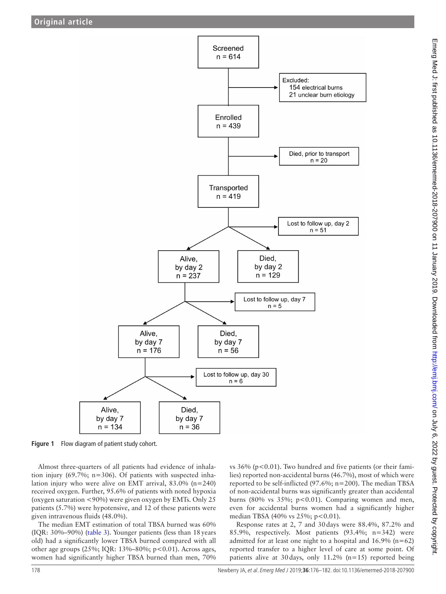

<span id="page-2-0"></span>**Figure 1** Flow diagram of patient study cohort.

Almost three-quarters of all patients had evidence of inhalation injury (69.7%; n=306). Of patients with suspected inhalation injury who were alive on EMT arrival, 83.0% (n=240) received oxygen. Further, 95.6% of patients with noted hypoxia (oxygen saturation <90%) were given oxygen by EMTs. Only 25 patients (5.7%) were hypotensive, and 12 of these patients were given intravenous fluids (48.0%).

The median EMT estimation of total TBSA burned was 60% (IQR: 30%–90%) ([table](#page-3-2) 3). Younger patients (less than 18years old) had a significantly lower TBSA burned compared with all other age groups (25%; IQR: 13%–80%; p<0.01). Across ages, women had significantly higher TBSA burned than men, 70%

vs  $36\%$  (p<0.01). Two hundred and five patients (or their families) reported non-accidental burns (46.7%), most of which were reported to be self-inflicted (97.6%; n=200). The median TBSA of non-accidental burns was significantly greater than accidental burns (80% vs 35%;  $p<0.01$ ). Comparing women and men, even for accidental burns women had a significantly higher median TBSA (40% vs 25%; p < 0.01).

Response rates at 2, 7 and 30days were 88.4%, 87.2% and 85.9%, respectively. Most patients  $(93.4\%; n=342)$  were admitted for at least one night to a hospital and  $16.9\%$  (n=62) reported transfer to a higher level of care at some point. Of patients alive at 30days, only 11.2% (n=15) reported being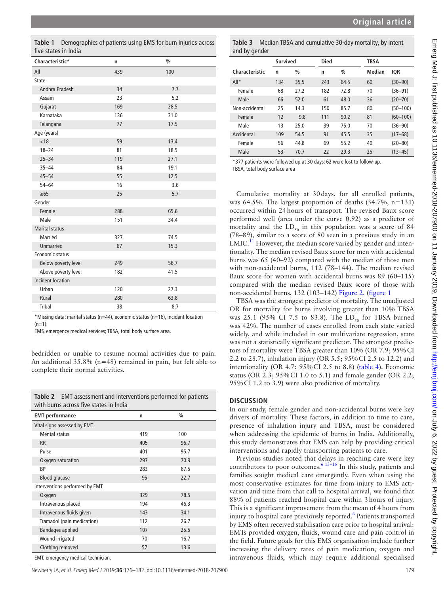<span id="page-3-0"></span>

|                      | Table 1 Demographics of patients using EMS for burn injuries across |
|----------------------|---------------------------------------------------------------------|
| five states in India |                                                                     |

| Characteristic*          | n   | $\frac{0}{0}$ |
|--------------------------|-----|---------------|
| All                      | 439 | 100           |
| <b>State</b>             |     |               |
| Andhra Pradesh           | 34  | 7.7           |
| Assam                    | 23  | 5.2           |
| Gujarat                  | 169 | 38.5          |
| Karnataka                | 136 | 31.0          |
| Telangana                | 77  | 17.5          |
| Age (years)              |     |               |
| < 18                     | 59  | 13.4          |
| $18 - 24$                | 81  | 18.5          |
| $25 - 34$                | 119 | 27.1          |
| $35 - 44$                | 84  | 19.1          |
| $45 - 54$                | 55  | 12.5          |
| $54 - 64$                | 16  | 3.6           |
| $\geq 65$                | 25  | 5.7           |
| Gender                   |     |               |
| Female                   | 288 | 65.6          |
| Male                     | 151 | 34.4          |
| <b>Marital status</b>    |     |               |
| Married                  | 327 | 74.5          |
| <b>Unmarried</b>         | 67  | 15.3          |
| Economic status          |     |               |
| Below poverty level      | 249 | 56.7          |
| Above poverty level      | 182 | 41.5          |
| <b>Incident location</b> |     |               |
| Urban                    | 120 | 27.3          |
| Rural                    | 280 | 63.8          |
| <b>Tribal</b>            | 38  | 8.7           |

\*Missing data: marital status (n=44), economic status (n=16), incident location  $(n=1)$ .

EMS, emergency medical services; TBSA, total body surface area.

bedridden or unable to resume normal activities due to pain. An additional 35.8% (n=48) remained in pain, but felt able to complete their normal activities.

<span id="page-3-1"></span>

| Table 2 EMT assessment and interventions performed for patients<br>with burns across five states in India |               |      |  |
|-----------------------------------------------------------------------------------------------------------|---------------|------|--|
| <b>EMT</b> performance                                                                                    | $\frac{0}{0}$ |      |  |
| Vital signs assessed by EMT                                                                               |               |      |  |
| Mental status                                                                                             | 419           | 100  |  |
| <b>RR</b>                                                                                                 | 405           | 96.7 |  |
| Pulse                                                                                                     | 401           | 95.7 |  |
| Oxygen saturation                                                                                         | 297           | 70.9 |  |
| <b>BP</b>                                                                                                 | 283           | 67.5 |  |
| <b>Blood glucose</b>                                                                                      | 95            | 22.7 |  |
| Interventions performed by EMT                                                                            |               |      |  |
| Oxygen                                                                                                    | 329           | 78.5 |  |
| Intravenous placed                                                                                        | 194           | 46.3 |  |
| Intravenous fluids given                                                                                  | 143           | 34.1 |  |
| Tramadol (pain medication)                                                                                | 112           | 26.7 |  |
| <b>Bandages applied</b>                                                                                   | 107           | 25.5 |  |
| Wound irrigated                                                                                           | 70            | 16.7 |  |
| Clothing removed                                                                                          | 57            | 13.6 |  |
| EMT, emergency medical technician.                                                                        |               |      |  |

<span id="page-3-2"></span>**Table 3** Median TBSA and cumulative 30-day mortality, by intent and by gender

| - -            |                 |               |             |      |               |              |  |
|----------------|-----------------|---------------|-------------|------|---------------|--------------|--|
|                | <b>Survived</b> |               | <b>Died</b> |      |               | <b>TBSA</b>  |  |
| Characteristic | n               | $\frac{0}{0}$ | n           | $\%$ | <b>Median</b> | <b>IQR</b>   |  |
| $All*$         | 134             | 35.5          | 243         | 64.5 | 60            | $(30 - 90)$  |  |
| Female         | 68              | 27.2          | 182         | 72.8 | 70            | $(36 - 91)$  |  |
| Male           | 66              | 52.0          | 61          | 48.0 | 36            | $(20 - 70)$  |  |
| Non-accidental | 25              | 14.3          | 150         | 85.7 | 80            | $(50 - 100)$ |  |
| Female         | 12              | 9.8           | 111         | 90.2 | 81            | $(60 - 100)$ |  |
| Male           | 13              | 25.0          | 39          | 75.0 | 70            | $(36 - 90)$  |  |
| Accidental     | 109             | 54.5          | 91          | 45.5 | 35            | $(17 - 68)$  |  |
| Female         | 56              | 44.8          | 69          | 55.2 | 40            | $(20 - 80)$  |  |
| Male           | 53              | 70.7          | 22          | 29.3 | 25            | $(13 - 45)$  |  |

\*377 patients were followed up at 30 days; 62 were lost to follow-up. TBSA, total body surface area

Cumulative mortality at 30days, for all enrolled patients, was 64.5%. The largest proportion of deaths (34.7%, n=131) occurred within 24hours of transport. The revised Baux score performed well (area under the curve 0.92) as a predictor of mortality and the  $LD_{50}$  in this population was a score of 84 (78–89), similar to a score of 80 seen in a previous study in an  $LMIC<sup>11</sup>$  However, the median score varied by gender and intentionality. The median revised Baux score for men with accidental burns was 65 (40–92) compared with the median of those men with non-accidental burns, 112 (78–144). The median revised Baux score for women with accidental burns was 89 (60–115) compared with the median revised Baux score of those with non-accidental burns, 132 (103–142) [Figure](#page-4-0) 2. ([figure](#page-2-0) 1

TBSA was the strongest predictor of mortality. The unadjusted OR for mortality for burns involving greater than 10% TBSA was 25.1 (95% CI 7.5 to 83.8). The  $LD_{50}$  for TBSA burned was 42%. The number of cases enrolled from each state varied widely, and while included in our multivariate regression, state was not a statistically significant predictor. The strongest predictors of mortality were TBSA greater than 10% (OR 7.9; 95%CI 2.2 to 28.7), inhalation injury (OR 5.5; 95%CI 2.5 to 12.2) and intentionality (OR 4.7; 95%CI 2.5 to 8.8) ([table](#page-4-1) 4). Economic status (OR 2.3; 95%CI 1.0 to 5.1) and female gender (OR 2.2; 95%CI 1.2 to 3.9) were also predictive of mortality.

#### **Discussion**

In our study, female gender and non-accidental burns were key drivers of mortality. These factors, in addition to time to care, presence of inhalation injury and TBSA, must be considered when addressing the epidemic of burns in India. Additionally, this study demonstrates that EMS can help by providing critical interventions and rapidly transporting patients to care.

Previous studies noted that delays in reaching care were key contributors to poor outcomes. $6\frac{13-16}{10}$  In this study, patients and families sought medical care emergently. Even when using the most conservative estimates for time from injury to EMS activation and time from that call to hospital arrival, we found that 88% of patients reached hospital care within 3hours of injury. This is a significant improvement from the mean of 4hours from injury to hospital care previously reported.<sup>[6](#page-6-4)</sup> Patients transported by EMS often received stabilisation care prior to hospital arrival: EMTs provided oxygen, fluids, wound care and pain control in the field. Future goals for this EMS organisation include further increasing the delivery rates of pain medication, oxygen and intravenous fluids, which may require additional specialised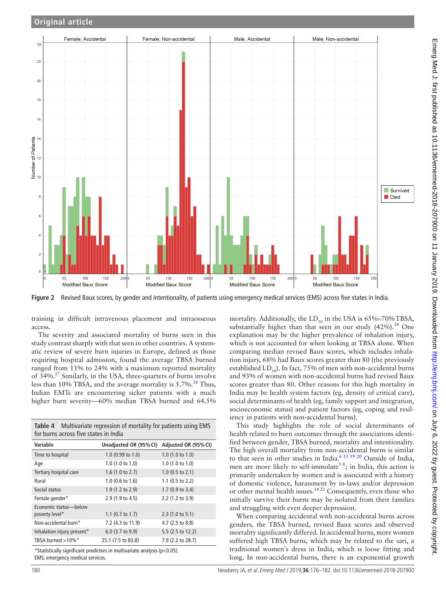

<span id="page-4-0"></span>**Figure 2** Revised Baux scores, by gender and intentionality, of patients using emergency medical services (EMS) across five states in India.

training in difficult intravenous placement and intraosseous access.

The severity and associated mortality of burns seen in this study contrast sharply with that seen in other countries. A systematic review of severe burn injuries in Europe, defined as those requiring hospital admission, found the average TBSA burned ranged from 11% to 24% with a maximum reported mortality of 34%[.17](#page-6-11) Similarly, in the USA, three-quarters of burns involve less than 10% TBSA, and the average mortality is  $5.7\%$ .<sup>[18](#page-6-12)</sup> Thus, Indian EMTs are encountering sicker patients with a much higher burn severity—60% median TBSA burned and 64.5%

<span id="page-4-1"></span>

| <b>Table 4</b> Multivariate regression of mortality for patients using EMS<br>for burns across five states in India |                             |                             |  |
|---------------------------------------------------------------------------------------------------------------------|-----------------------------|-----------------------------|--|
| Variable                                                                                                            | Unadjusted OR (95% CI)      | Adjusted OR (95% CI)        |  |
| Time to hospital                                                                                                    | $1.0$ (0.99 to $1.0$ )      | $1.0$ (1.0 to 1.0)          |  |
| Age                                                                                                                 | $1.0$ (1.0 to 1.0)          | $1.0$ (1.0 to 1.0)          |  |
| Tertiary hospital care                                                                                              | 1.6 $(1.0 \text{ to } 2.7)$ | $1.0$ (0.5 to 2.1)          |  |
| Rural                                                                                                               | $1.0$ (0.6 to 1.6)          | 1.1 $(0.5 \text{ to } 2.2)$ |  |
| Social status                                                                                                       | 1.9 (1.2 to 2.9)            | 1.7 (0.9 to 3.4)            |  |
| Female gender*                                                                                                      | 2.9 (1.9 to 4.5)            | 2.2 (1.2 to 3.9)            |  |
| Economic status-below<br>poverty level*                                                                             | 1.1 $(0.7 \text{ to } 1.7)$ | 2.3(1.0 to 5.1)             |  |
| Non-accidental burn*                                                                                                | 7.2 (4.3 to 11.9)           | 4.7 (2.5 to 8.8)            |  |
| Inhalation injury present*                                                                                          | $6.0$ (3.7 to 9.9)          | 5.5 (2.5 to 12.2)           |  |
| TBSA burned >10%*                                                                                                   | 25.1 (7.5 to 83.8)          | 7.9 (2.2 to 28.7)           |  |

\*Statistically significant predictors in multivariate analysis (p<0.05). EMS, emergency medical services.

mortality. Additionally, the  $LD_{50}$  in the USA is 65%–70% TBSA, substantially higher than that seen in our study  $(42\%)$ .<sup>18</sup> One explanation may be the higher prevalence of inhalation injury, which is not accounted for when looking at TBSA alone. When comparing median revised Baux scores, which includes inhalation injury, 68% had Baux scores greater than 80 (the previously established  $LD_{50}$ ). In fact, 75% of men with non-accidental burns and 93% of women with non-accidental burns had revised Baux scores greater than 80. Other reasons for this high mortality in India may be health system factors (eg, density of critical care), social determinants of health (eg, family support and integration, socioeconomic status) and patient factors (eg, coping and resiliency in patients with non-accidental burns).

This study highlights the role of social determinants of health related to burn outcomes through the associations identified between gender, TBSA burned, mortality and intentionality. The high overall mortality from non-accidental burns is similar to that seen in other studies in India.<sup>6 13 19 20</sup> Outside of India, men are more likely to self-immolate<sup>38</sup>; in India, this action is primarily undertaken by women and is associated with a history of domestic violence, harassment by in-laws and/or depression or other mental health issues. $1421$  Consequently, even those who initially survive their burns may be isolated from their families and struggling with even deeper depression.

When comparing accidental with non-accidental burns across genders, the TBSA burned, revised Baux scores and observed mortality significantly differed. In accidental burns, more women suffered high TBSA burns, which may be related to the sari, a traditional women's dress in India, which is loose fitting and long. In non-accidental burns, there is an exponential growth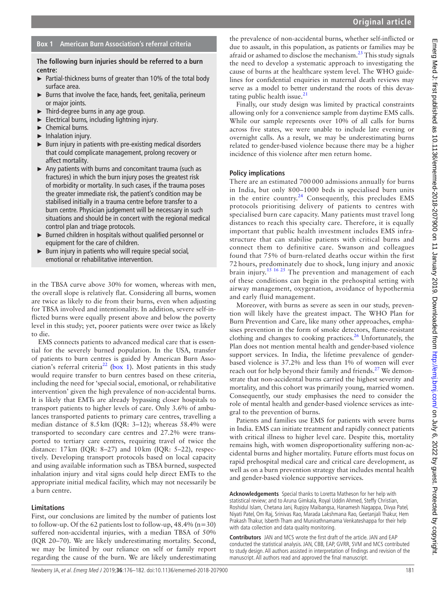## **Box 1 American Burn Association's referral criteria**

#### <span id="page-5-0"></span>**The following burn injuries should be referred to a burn centre:**

- ► Partial-thickness burns of greater than 10% of the total body surface area.
- $\blacktriangleright$  Burns that involve the face, hands, feet, genitalia, perineum or major joints.
- ► Third-degree burns in any age group.
- ► Electrical burns, including lightning injury.
- $\blacktriangleright$  Chemical burns.
- ► Inhalation injury.
- $\blacktriangleright$  Burn injury in patients with pre-existing medical disorders that could complicate management, prolong recovery or affect mortality.
- ► Any patients with burns and concomitant trauma (such as fractures) in which the burn injury poses the greatest risk of morbidity or mortality. In such cases, if the trauma poses the greater immediate risk, the patient's condition may be stabilised initially in a trauma centre before transfer to a burn centre. Physician judgement will be necessary in such situations and should be in concert with the regional medical control plan and triage protocols.
- ► Burned children in hospitals without qualified personnel or equipment for the care of children.
- $\triangleright$  Burn injury in patients who will require special social, emotional or rehabilitative intervention.

in the TBSA curve above 30% for women, whereas with men, the overall slope is relatively flat. Considering all burns, women are twice as likely to die from their burns, even when adjusting for TBSA involved and intentionality. In addition, severe self-inflicted burns were equally present above and below the poverty level in this study; yet, poorer patients were over twice as likely to die.

EMS connects patients to advanced medical care that is essential for the severely burned population. In the USA, transfer of patients to burn centres is guided by American Burn Asso-ciation's referral criteria<sup>22</sup> [\(box](#page-5-0) 1). Most patients in this study would require transfer to burn centres based on these criteria, including the need for 'special social, emotional, or rehabilitative intervention' given the high prevalence of non-accidental burns. It is likely that EMTs are already bypassing closer hospitals to transport patients to higher levels of care. Only 3.6% of ambulances transported patients to primary care centres, travelling a median distance of 8.5km (IQR: 3–12); whereas 58.4% were transported to secondary care centres and 27.2% were transported to tertiary care centres, requiring travel of twice the distance: 17km (IQR: 8–27) and 10km (IQR: 5–22), respectively. Developing transport protocols based on local capacity and using available information such as TBSA burned, suspected inhalation injury and vital signs could help direct EMTs to the appropriate initial medical facility, which may not necessarily be a burn centre.

### **Limitations**

First, our conclusions are limited by the number of patients lost to follow-up. Of the 62 patients lost to follow-up,  $48.4\%$  (n=30) suffered non-accidental injuries, with a median TBSA of 50% (IQR 20–70). We are likely underestimating mortality. Second, we may be limited by our reliance on self or family report regarding the cause of the burn. We are likely underestimating

the prevalence of non-accidental burns, whether self-inflicted or due to assault, in this population, as patients or families may be afraid or ashamed to disclose the mechanism[.23](#page-6-15) This study signals the need to develop a systematic approach to investigating the cause of burns at the healthcare system level. The WHO guidelines for confidential enquiries in maternal death reviews may serve as a model to better understand the roots of this devastating public health issue. $^{21}$  $^{21}$  $^{21}$ 

Finally, our study design was limited by practical constraints allowing only for a convenience sample from daytime EMS calls. While our sample represents over 10% of all calls for burns across five states, we were unable to include late evening or overnight calls. As a result, we may be underestimating burns related to gender-based violence because there may be a higher incidence of this violence after men return home.

#### **Policy implications**

There are an estimated 700 000 admissions annually for burns in India, but only 800–1000 beds in specialised burn units in the entire country.<sup>24</sup> Consequently, this precludes EMS protocols prioritising delivery of patients to centres with specialised burn care capacity. Many patients must travel long distances to reach this specialty care. Therefore, it is equally important that public health investment includes EMS infrastructure that can stabilise patients with critical burns and connect them to definitive care. Swanson and colleagues found that 75% of burn-related deaths occur within the first 72 hours, predominately due to shock, lung injury and anoxic brain injury.<sup>[15 16 25](#page-6-18)</sup> The prevention and management of each of these conditions can begin in the prehospital setting with airway management, oxygenation, avoidance of hypothermia and early fluid management.

Moreover, with burns as severe as seen in our study, prevention will likely have the greatest impact. The WHO Plan for Burn Prevention and Care, like many other approaches, emphasises prevention in the form of smoke detectors, flame-resistant clothing and changes to cooking practices.<sup>[26](#page-6-19)</sup> Unfortunately, the Plan does not mention mental health and gender-based violence support services. In India, the lifetime prevalence of genderbased violence is 37.2% and less than 1% of women will ever reach out for help beyond their family and friends.<sup>[27](#page-6-20)</sup> We demonstrate that non-accidental burns carried the highest severity and mortality, and this cohort was primarily young, married women. Consequently, our study emphasises the need to consider the role of mental health and gender-based violence services as integral to the prevention of burns.

Patients and families use EMS for patients with severe burns in India. EMS can initiate treatment and rapidly connect patients with critical illness to higher level care. Despite this, mortality remains high, with women disproportionality suffering non-accidental burns and higher mortality. Future efforts must focus on rapid prehospital medical care and critical care development, as well as on a burn prevention strategy that includes mental health and gender-based violence supportive services.

**Acknowledgements** Special thanks to Loretta Matheson for her help with statistical review; and to Aruna Gimkala, Royal Uddin Ahmed, Steffy Christian, Roshidul Islam, Chetana Jani, Rupjoy Maibangsa, Hanamesh Nagappa, Divya Patel, Niyati Patel, Om Raj, Srinivas Rao, Marada Lakshmana Rao, Geetanjali Thakur, Hem Prakash Thakur, Isberth Tham and Munirathnamama Venkateshappa for their help with data collection and data quality monitoring.

**Contributors** JAN and MCS wrote the first draft of the article. JAN and EAP conducted the statistical analysis. JAN, CBB, EAP, GVRR, SVM and MCS contributed to study design. All authors assisted in interpretation of findings and revision of the manuscript. All authors read and approved the final manuscript.